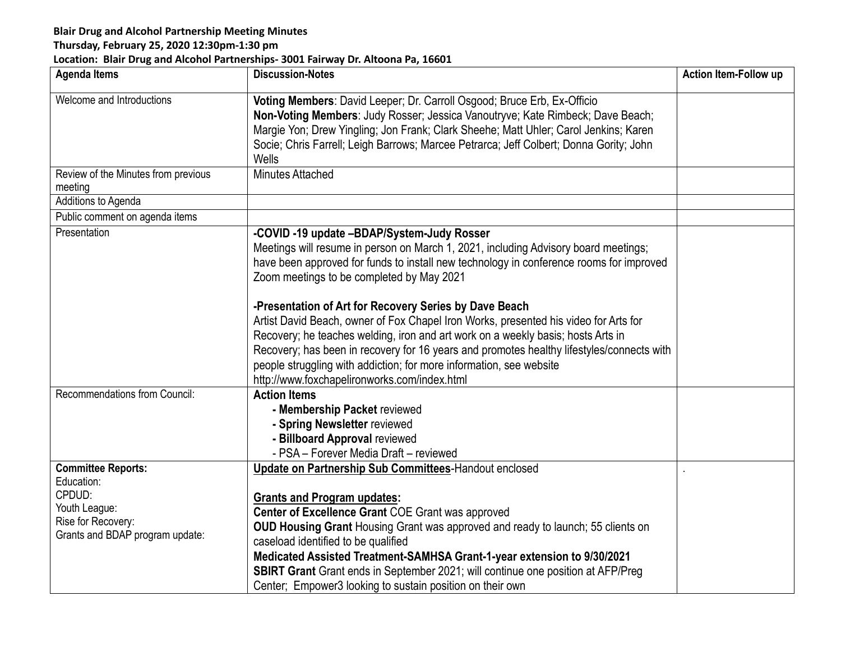## **Blair Drug and Alcohol Partnership Meeting Minutes**

## **Thursday, February 25, 2020 12:30pm-1:30 pm**

## **Location: Blair Drug and Alcohol Partnerships- 3001 Fairway Dr. Altoona Pa, 16601**

| <b>Agenda Items</b>                                                                                                         | <b>Discussion-Notes</b>                                                                                                                                                                                                                                                                                                                                                                                                                                                                                                                                                                                                                                                                                                             | Action Item-Follow up |
|-----------------------------------------------------------------------------------------------------------------------------|-------------------------------------------------------------------------------------------------------------------------------------------------------------------------------------------------------------------------------------------------------------------------------------------------------------------------------------------------------------------------------------------------------------------------------------------------------------------------------------------------------------------------------------------------------------------------------------------------------------------------------------------------------------------------------------------------------------------------------------|-----------------------|
| Welcome and Introductions                                                                                                   | Voting Members: David Leeper; Dr. Carroll Osgood; Bruce Erb, Ex-Officio<br>Non-Voting Members: Judy Rosser; Jessica Vanoutryve; Kate Rimbeck; Dave Beach;<br>Margie Yon; Drew Yingling; Jon Frank; Clark Sheehe; Matt Uhler; Carol Jenkins; Karen<br>Socie; Chris Farrell; Leigh Barrows; Marcee Petrarca; Jeff Colbert; Donna Gority; John<br>Wells                                                                                                                                                                                                                                                                                                                                                                                |                       |
| Review of the Minutes from previous<br>meeting                                                                              | <b>Minutes Attached</b>                                                                                                                                                                                                                                                                                                                                                                                                                                                                                                                                                                                                                                                                                                             |                       |
| Additions to Agenda                                                                                                         |                                                                                                                                                                                                                                                                                                                                                                                                                                                                                                                                                                                                                                                                                                                                     |                       |
| Public comment on agenda items                                                                                              |                                                                                                                                                                                                                                                                                                                                                                                                                                                                                                                                                                                                                                                                                                                                     |                       |
| Presentation                                                                                                                | -COVID -19 update -BDAP/System-Judy Rosser<br>Meetings will resume in person on March 1, 2021, including Advisory board meetings;<br>have been approved for funds to install new technology in conference rooms for improved<br>Zoom meetings to be completed by May 2021<br>-Presentation of Art for Recovery Series by Dave Beach<br>Artist David Beach, owner of Fox Chapel Iron Works, presented his video for Arts for<br>Recovery; he teaches welding, iron and art work on a weekly basis; hosts Arts in<br>Recovery; has been in recovery for 16 years and promotes healthy lifestyles/connects with<br>people struggling with addiction; for more information, see website<br>http://www.foxchapelironworks.com/index.html |                       |
| Recommendations from Council:                                                                                               | <b>Action Items</b><br>- Membership Packet reviewed<br>- Spring Newsletter reviewed<br>- Billboard Approval reviewed<br>- PSA - Forever Media Draft - reviewed                                                                                                                                                                                                                                                                                                                                                                                                                                                                                                                                                                      |                       |
| <b>Committee Reports:</b><br>Education:<br>CPDUD:<br>Youth League:<br>Rise for Recovery:<br>Grants and BDAP program update: | <b>Update on Partnership Sub Committees-Handout enclosed</b><br><b>Grants and Program updates:</b><br>Center of Excellence Grant COE Grant was approved<br>OUD Housing Grant Housing Grant was approved and ready to launch; 55 clients on<br>caseload identified to be qualified<br>Medicated Assisted Treatment-SAMHSA Grant-1-year extension to 9/30/2021<br><b>SBIRT Grant</b> Grant ends in September 2021; will continue one position at AFP/Preg<br>Center; Empower3 looking to sustain position on their own                                                                                                                                                                                                                |                       |